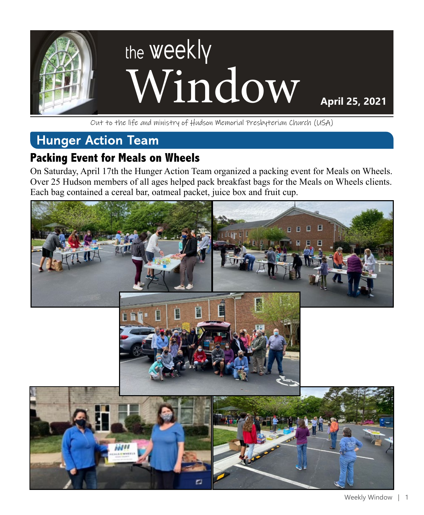

Out to the life and ministry of Hudson Memorial Presbyterian Church (USA)

#### **Hunger Action Team**

#### **Packing Event for Meals on Wheels**

On Saturday, April 17th the Hunger Action Team organized a packing event for Meals on Wheels. Over 25 Hudson members of all ages helped pack breakfast bags for the Meals on Wheels clients. Each bag contained a cereal bar, oatmeal packet, juice box and fruit cup.

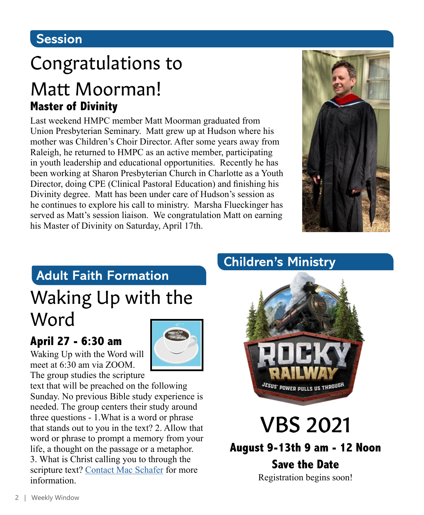#### **Session**

# Congratulations to

## Matt Moorman! **Master of Divinity**

Last weekend HMPC member Matt Moorman graduated from Union Presbyterian Seminary. Matt grew up at Hudson where his mother was Children's Choir Director. After some years away from Raleigh, he returned to HMPC as an active member, participating in youth leadership and educational opportunities. Recently he has been working at Sharon Presbyterian Church in Charlotte as a Youth Director, doing CPE (Clinical Pastoral Education) and finishing his Divinity degree. Matt has been under care of Hudson's session as he continues to explore his call to ministry. Marsha Flueckinger has served as Matt's session liaison. We congratulation Matt on earning his Master of Divinity on Saturday, April 17th.



### **Adult Faith Formation**

# Waking Up with the Word

#### **April 27 - 6:30 am**

Waking Up with the Word will meet at 6:30 am via ZOOM. The group studies the scripture



text that will be preached on the following Sunday. No previous Bible study experience is needed. The group centers their study around three questions - 1.What is a word or phrase that stands out to you in the text? 2. Allow that word or phrase to prompt a memory from your life, a thought on the passage or a metaphor. 3. What is Christ calling you to through the scripture text? [Contact Mac Schafer](mailto:mschafer%40hmpc.org?subject=) for more information.

### **Children's Ministry**



# VBS 2021

**August 9-13th 9 am - 12 Noon**

**Save the Date**  Registration begins soon!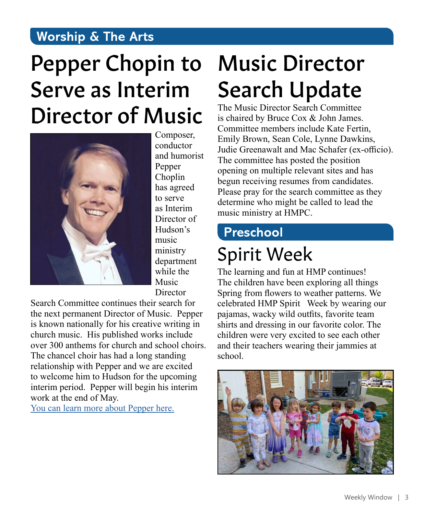#### **Worship & The Arts**

# Pepper Chopin to Serve as Interim Director of Music



Composer, conductor and humorist Pepper Choplin has agreed to serve as Interim Director of Hudson's music ministry department while the Music **Director** 

Search Committee continues their search for the next permanent Director of Music. Pepper is known nationally for his creative writing in church music. His published works include over 300 anthems for church and school choirs. The chancel choir has had a long standing relationship with Pepper and we are excited to welcome him to Hudson for the upcoming interim period. Pepper will begin his interim work at the end of May.

[You can learn more about Pepper here.](http://www.pepperchoplin.com)

# Music Director Search Update

The Music Director Search Committee is chaired by Bruce Cox & John James. Committee members include Kate Fertin, Emily Brown, Sean Cole, Lynne Dawkins, Judie Greenawalt and Mac Schafer (ex-officio). The committee has posted the position opening on multiple relevant sites and has begun receiving resumes from candidates. Please pray for the search committee as they determine who might be called to lead the music ministry at HMPC.

## **Preschool**

# Spirit Week

The learning and fun at HMP continues! The children have been exploring all things Spring from flowers to weather patterns. We celebrated HMP Spirit Week by wearing our pajamas, wacky wild outfits, favorite team shirts and dressing in our favorite color. The children were very excited to see each other and their teachers wearing their jammies at school.

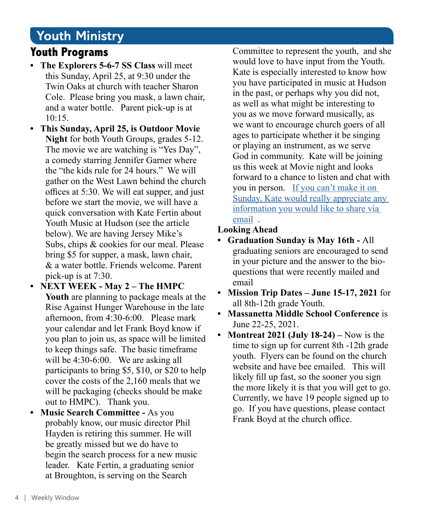#### **Youth Ministry**

#### **Youth Programs**

- **• The Explorers 5-6-7 SS Class** will meet this Sunday, April 25, at 9:30 under the Twin Oaks at church with teacher Sharon Cole. Please bring you mask, a lawn chair, and a water bottle. Parent pick-up is at  $10:15.$
- **• This Sunday, April 25, is Outdoor Movie Night** for both Youth Groups, grades 5-12. The movie we are watching is "Yes Day", a comedy starring Jennifer Garner where the "the kids rule for 24 hours." We will gather on the West Lawn behind the church offices at 5:30. We will eat supper, and just before we start the movie, we will have a quick conversation with Kate Fertin about Youth Music at Hudson (see the article below). We are having Jersey Mike's Subs, chips & cookies for our meal. Please bring \$5 for supper, a mask, lawn chair, & a water bottle. Friends welcome. Parent pick-up is at 7:30.
- **• NEXT WEEK May 2 The HMPC Youth** are planning to package meals at the Rise Against Hunger Warehouse in the late afternoon, from 4:30-6:00. Please mark your calendar and let Frank Boyd know if you plan to join us, as space will be limited to keep things safe. The basic timeframe will be 4:30-6:00. We are asking all participants to bring \$5, \$10, or \$20 to help cover the costs of the 2,160 meals that we will be packaging (checks should be make out to HMPC). Thank you.
- **• Music Search Committee** As you probably know, our music director Phil Hayden is retiring this summer. He will be greatly missed but we do have to begin the search process for a new music leader. Kate Fertin, a graduating senior at Broughton, is serving on the Search

Committee to represent the youth, and she would love to have input from the Youth. Kate is especially interested to know how you have participated in music at Hudson in the past, or perhaps why you did not, as well as what might be interesting to you as we move forward musically, as we want to encourage church goers of all ages to participate whether it be singing or playing an instrument, as we serve God in community. Kate will be joining us this week at Movie night and looks forward to a chance to listen and chat with you in person. [If you can't make it on](mailto:kateolivia2003%40gmail.com?subject=)  [Sunday, Kate would really appreciate any](mailto:kateolivia2003%40gmail.com?subject=)  [information you would like to share via](mailto:kateolivia2003%40gmail.com?subject=)  [email](mailto:kateolivia2003%40gmail.com?subject=) .

#### **Looking Ahead**

- **• Graduation Sunday is May 16th** All graduating seniors are encouraged to send in your picture and the answer to the bioquestions that were recently mailed and email
- **• Mission Trip Dates June 15-17, 2021** for all 8th-12th grade Youth.
- **• Massanetta Middle School Conference** is June 22-25, 2021.
- **• Montreat 2021 (July 18-24)** Now is the time to sign up for current 8th -12th grade youth. Flyers can be found on the church website and have bee emailed. This will likely fill up fast, so the sooner you sign the more likely it is that you will get to go. Currently, we have 19 people signed up to go. If you have questions, please contact Frank Boyd at the church office.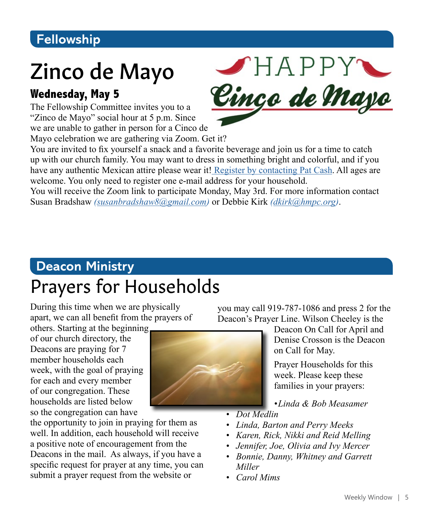### **Fellowship**

# Zinco de Mayo

#### **Wednesday, May 5**

The Fellowship Committee invites you to a "Zinco de Mayo" social hour at 5 p.m. Since we are unable to gather in person for a Cinco de

Mayo celebration we are gathering via Zoom. Get it?

You are invited to fix yourself a snack and a favorite beverage and join us for a time to catch up with our church family. You may want to dress in something bright and colorful, and if you have any authentic Mexican attire please wear it! [Register by contacting Pat Cash](mailto:pcash%40hmpc.org?subject=). All ages are welcome. You only need to register one e-mail address for your household.

You will receive the Zoom link to participate Monday, May 3rd. For more information contact Susan Bradshaw *[\(susanbradshaw8@gmail.com\)](mailto:susanbradshaw8%40gmail.com?subject=Zinco%20de%20Mayo)* or Debbie Kirk *([dkirk@hmpc.org](mailto:dkirk%40hmpc.org?subject=Zinco%20de%20Mayo))*.

# **Deacon Ministry** Prayers for Households

During this time when we are physically apart, we can all benefit from the prayers of

others. Starting at the beginning of our church directory, the Deacons are praying for 7 member households each week, with the goal of praying for each and every member of our congregation. These households are listed below so the congregation can have

the opportunity to join in praying for them as well. In addition, each household will receive a positive note of encouragement from the Deacons in the mail. As always, if you have a specific request for prayer at any time, you can submit a prayer request from the website or

you may call 919-787-1086 and press 2 for the Deacon's Prayer Line. Wilson Cheeley is the

> Deacon On Call for April and Denise Crosson is the Deacon on Call for May.

Prayer Households for this week. Please keep these families in your prayers:

*•Linda & Bob Measamer*

- *• Dot Medlin*
- *• Linda, Barton and Perry Meeks*
- *• Karen, Rick, Nikki and Reid Melling*
- *• Jennifer, Joe, Olivia and Ivy Mercer*
- *• Bonnie, Danny, Whitney and Garrett Miller*
- *• Carol Mims*



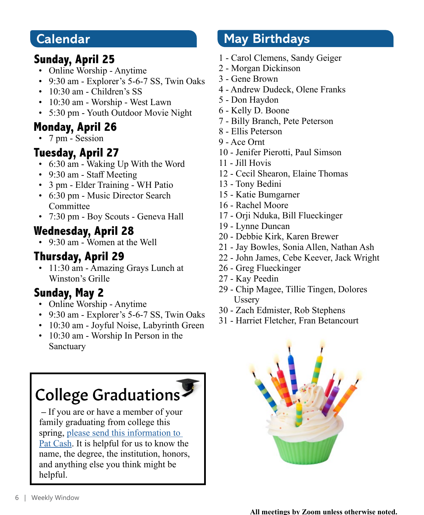#### **Calendar**

#### **Sunday, April 25**

- Online Worship Anytime
- 9:30 am Explorer's 5-6-7 SS, Twin Oaks
- 10:30 am Children's SS
- 10:30 am Worship West Lawn
- 5:30 pm Youth Outdoor Movie Night

#### **Monday, April 26**

• 7 pm - Session

#### **Tuesday, April 27**

- 6:30 am Waking Up With the Word
- 9:30 am Staff Meeting
- 3 pm Elder Training WH Patio
- 6:30 pm Music Director Search **Committee**
- 7:30 pm Boy Scouts Geneva Hall

### **Wednesday, April 28**

• 9:30 am - Women at the Well

### **Thursday, April 29**

• 11:30 am - Amazing Grays Lunch at Winston's Grille

### **Sunday, May 2**

- Online Worship Anytime
- 9:30 am Explorer's 5-6-7 SS, Twin Oaks
- 10:30 am Joyful Noise, Labyrinth Green
- 10:30 am Worship In Person in the Sanctuary

# College Graduations

 **–** If you are or have a member of your family graduating from college this spring, [please send this information to](mailto:pcash%40hmpc.org?subject=)  [Pat Cash](mailto:pcash%40hmpc.org?subject=). It is helpful for us to know the name, the degree, the institution, honors, and anything else you think might be helpful.

## **May Birthdays**

- 1 Carol Clemens, Sandy Geiger
- 2 Morgan Dickinson
- 3 Gene Brown
- 4 Andrew Dudeck, Olene Franks
- 5 Don Haydon
- 6 Kelly D. Boone
- 7 Billy Branch, Pete Peterson
- 8 Ellis Peterson
- 9 Ace Ornt
- 10 Jenifer Pierotti, Paul Simson
- 11 Jill Hovis
- 12 Cecil Shearon, Elaine Thomas
- 13 Tony Bedini
- 15 Katie Bumgarner
- 16 Rachel Moore
- 17 Orji Nduka, Bill Flueckinger
- 19 Lynne Duncan
- 20 Debbie Kirk, Karen Brewer
- 21 Jay Bowles, Sonia Allen, Nathan Ash
- 22 John James, Cebe Keever, Jack Wright
- 26 Greg Flueckinger
- 27 Kay Peedin
- 29 Chip Magee, Tillie Tingen, Dolores Ussery
- 30 Zach Edmister, Rob Stephens
- 31 Harriet Fletcher, Fran Betancourt